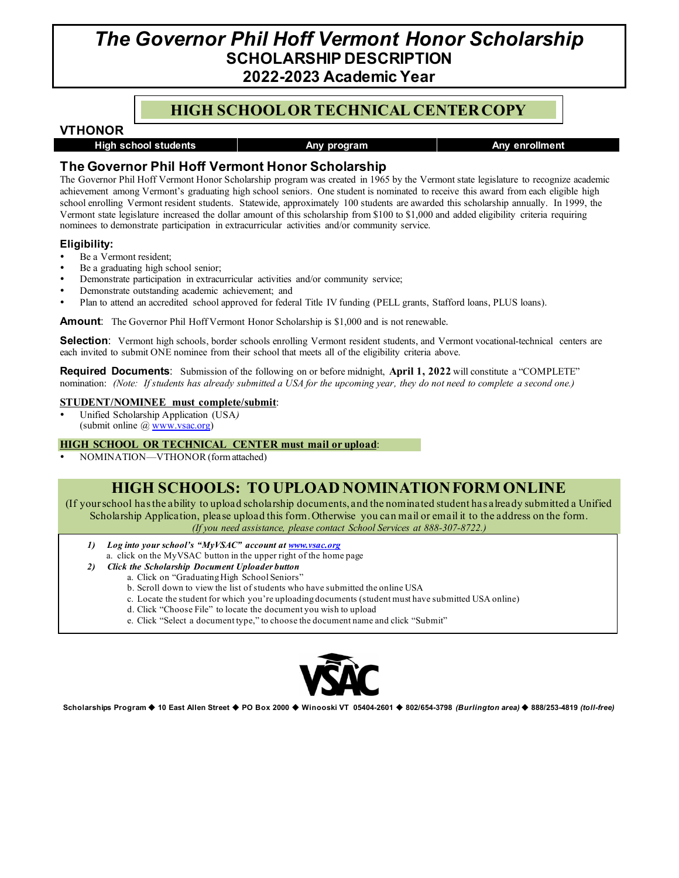# *The Governor Phil Hoff Vermont Honor Scholarship* **SCHOLARSHIP DESCRIPTION 2022-2023 Academic Year**

### **HIGH SCHOOL OR TECHNICAL CENTERCOPY**

### **VTHONOR**

**High school students Any program Any enrollment**

### **The Governor Phil Hoff Vermont Honor Scholarship**

The Governor Phil Hoff Vermont Honor Scholarship program was created in 1965 by the Vermont state legislature to recognize academic achievement among Vermont's graduating high school seniors. One student is nominated to receive this award from each eligible high school enrolling Vermont resident students. Statewide, approximately 100 students are awarded this scholarship annually. In 1999, the Vermont state legislature increased the dollar amount of this scholarship from \$100 to \$1,000 and added eligibility criteria requiring nominees to demonstrate participation in extracurricular activities and/or community service.

### **Eligibility:**

- Be a Vermont resident;
- Be a graduating high school senior;
- Demonstrate participation in extracurricular activities and/or community service;
- Demonstrate outstanding academic achievement; and
- Plan to attend an accredited school approved for federal Title IV funding (PELL grants, Stafford loans, PLUS loans).

**Amount:** The Governor Phil Hoff Vermont Honor Scholarship is \$1,000 and is not renewable.

**Selection**: Vermont high schools, border schools enrolling Vermont resident students, and Vermont vocational-technical centers are each invited to submit ONE nominee from their school that meets all of the eligibility criteria above.

**Required Documents**: Submission of the following on or before midnight, **April 1, 2022** will constitute a "COMPLETE" nomination: *(Note: If students has already submitted a USA for the upcoming year, they do not need to complete a second one.)*

#### **STUDENT/NOMINEE must complete/submit**:

 Unified Scholarship Application (USA*)* (submit online [@ www.vsac.org\)](http://www.vsac.org/)

### **HIGH SCHOOL OR TECHNICAL CENTER must mail or upload**:

NOMINATION—VTHONOR(form attached)

### **HIGH SCHOOLS: TO UPLOAD NOMINATION FORM ONLINE**

(If your school has the ability to upload scholarship documents, and the nominated student has already submitted a Unified Scholarship Application, please upload this form. Otherwise you can mail or email it to the address on the form. *(If you need assistance, please contact School Services at 888-307-8722.)*

- *1) Log into your school's "MyVSAC" account a[t www.vsac.org](http://www.vsac.org/)*
	- a. click on the MyVSAC button in the upper right of the home page
- *2) Click the Scholarship Document Uploader button*
	- a. Click on "Graduating High School Seniors"
		- b. Scroll down to view the list of students who have submitted the online USA
		- c. Locate the student for which you're uploading documents (student must have submitted USA online)
		- d. Click "Choose File" to locate the document you wish to upload
		- e. Click "Select a document type," to choose the document name and click "Submit"



**Scholarships Program 10 East Allen Street PO Box 2000 Winooski VT 05404-2601 802/654-3798** *(Burlington area)* **888/253-4819** *(toll-free)*